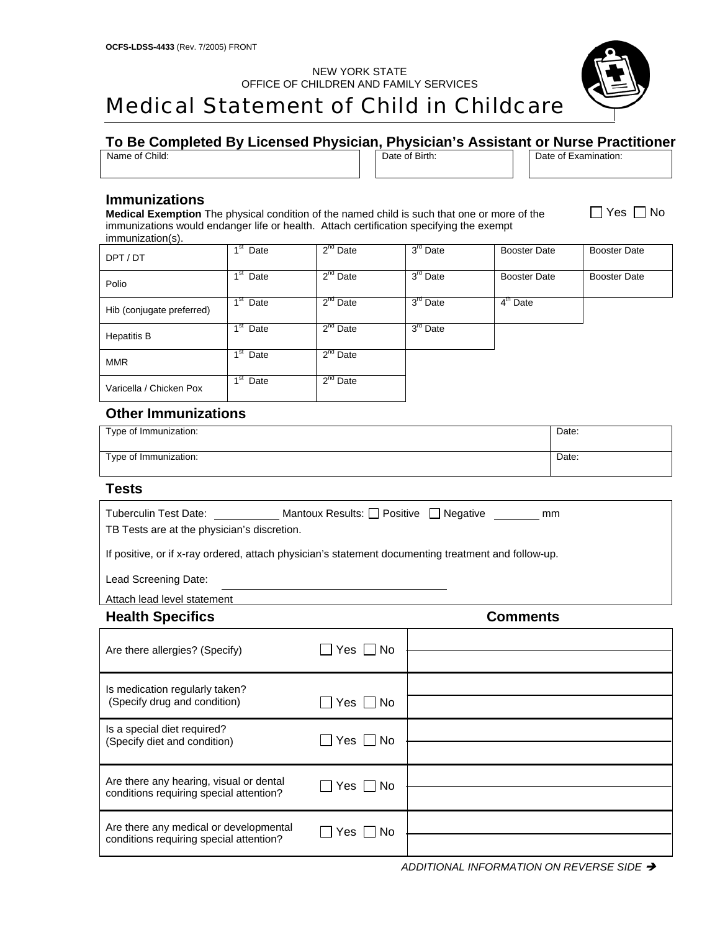NEW YORK STATE OFFICE OF CHILDREN AND FAMILY SERVICES

# Medical Statement of Child in Childcare

## **To Be Completed By Licensed Physician, Physician's Assistant or Nurse Practitioner**

| __<br>___                   | __ | __<br>___ |                           |                                 |
|-----------------------------|----|-----------|---------------------------|---------------------------------|
| $\sim$<br>of Child:<br>Name |    |           | Birth:<br>nt<br>Date<br>. | )ate<br>-vomin<br>∩t<br>nation. |
|                             |    |           |                           |                                 |

#### **Immunizations**

**Medical Exemption** The physical condition of the named child is such that one or more of the immunizations would endanger life or health. Attach certification specifying the exempt immunization(s).

| <sub>.</sub>              |                                   |               |                      |                     |                     |
|---------------------------|-----------------------------------|---------------|----------------------|---------------------|---------------------|
| DPT / DT                  | 1 <sup>st</sup> Date              | $2^{nd}$ Date | 3 <sup>rd</sup> Date | <b>Booster Date</b> | <b>Booster Date</b> |
| Polio                     | 1 <sup>st</sup><br>Date           | $2^{nd}$ Date | 3 <sup>rd</sup> Date | <b>Booster Date</b> | <b>Booster Date</b> |
| Hib (conjugate preferred) | $\overline{1}^{\rm st}$ Date      | $2^{nd}$ Date | 3 <sup>rd</sup> Date | $4th$ Date          |                     |
| <b>Hepatitis B</b>        | 1 <sup>st</sup><br>Date           | $2^{nd}$ Date | 3 <sup>rd</sup> Date |                     |                     |
| <b>MMR</b>                | 1 <sup>st</sup><br>Date           | $2^{nd}$ Date |                      |                     |                     |
| Varicella / Chicken Pox   | $\overline{1}$ <sup>st</sup> Date | $2nd$ Date    |                      |                     |                     |

### **Other Immunizations**

| Type of Immunization: | Date: |
|-----------------------|-------|
| Type of Immunization: | Date: |

#### **Tests**

| Tuberculin Test Date:<br>TB Tests are at the physician's discretion.                                | Mantoux Results: □ Positive □ Negative<br>mm |  |  |  |
|-----------------------------------------------------------------------------------------------------|----------------------------------------------|--|--|--|
| If positive, or if x-ray ordered, attach physician's statement documenting treatment and follow-up. |                                              |  |  |  |
| Lead Screening Date:                                                                                |                                              |  |  |  |
| Attach lead level statement                                                                         |                                              |  |  |  |
| <b>Health Specifics</b>                                                                             | Comments                                     |  |  |  |

| Are there allergies? (Specify)                                                     | Yes $\Box$ No        |  |
|------------------------------------------------------------------------------------|----------------------|--|
| Is medication regularly taken?<br>(Specify drug and condition)                     | Yes $\Box$ No        |  |
| Is a special diet required?<br>(Specify diet and condition)                        | Yes $\Box$ No        |  |
| Are there any hearing, visual or dental<br>conditions requiring special attention? | Yes $\Box$ No        |  |
| Are there any medical or developmental<br>conditions requiring special attention?  | $\Box$ Yes $\Box$ No |  |

**ADDITIONAL INFORMATION ON REVERSE SIDE**  $\rightarrow$ 



 $\Box$  Yes  $\Box$  No